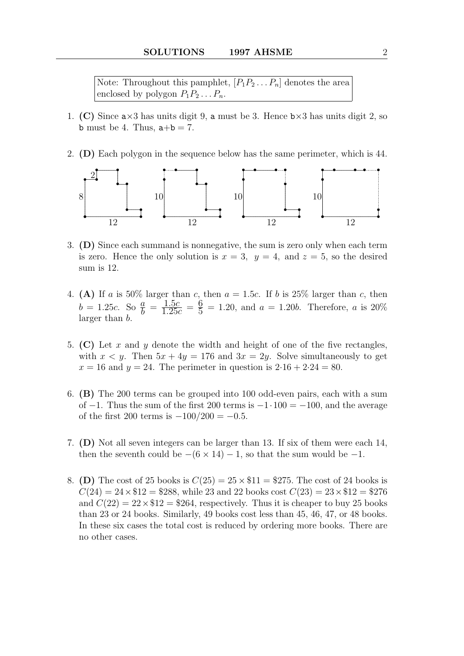Note: Throughout this pamphlet,  $[P_1P_2 \ldots P_n]$  denotes the area enclosed by polygon  $P_1P_2 \ldots P_n$ .

- 1. (C) Since  $a \times 3$  has units digit 9, a must be 3. Hence  $b \times 3$  has units digit 2, so **b** must be 4. Thus,  $a+b = 7$ .
- 2. (D) Each polygon in the sequence below has the same perimeter, which is 44.



- 3. (D) Since each summand is nonnegative, the sum is zero only when each term is zero. Hence the only solution is  $x = 3$ ,  $y = 4$ , and  $z = 5$ , so the desired sum is 12.
- 4. (A) If a is 50% larger than c, then  $a = 1.5c$ . If b is 25% larger than c, then  $b = 1.25c$ . So  $\frac{a}{b} = \frac{1.5c}{1.25c}$  $\frac{1.5c}{1.25c} = \frac{6}{5}$  $\frac{0}{5}$  = 1.20, and  $a = 1.20b$ . Therefore, a is 20% larger than b.
- 5. (C) Let x and y denote the width and height of one of the five rectangles, with  $x < y$ . Then  $5x + 4y = 176$  and  $3x = 2y$ . Solve simultaneously to get  $x = 16$  and  $y = 24$ . The perimeter in question is  $2.16 + 2.24 = 80$ .
- 6. (B) The 200 terms can be grouped into 100 odd-even pairs, each with a sum of  $-1$ . Thus the sum of the first 200 terms is  $-1.100 = -100$ , and the average of the first 200 terms is  $-100/200 = -0.5$ .
- 7. (D) Not all seven integers can be larger than 13. If six of them were each 14, then the seventh could be  $-(6 \times 14) - 1$ , so that the sum would be -1.
- 8. (D) The cost of 25 books is  $C(25) = 25 \times $11 = $275$ . The cost of 24 books is  $C(24) = 24 \times $12 = $288$ , while 23 and 22 books cost  $C(23) = 23 \times $12 = $276$ and  $C(22) = 22 \times $12 = $264$ , respectively. Thus it is cheaper to buy 25 books than 23 or 24 books. Similarly, 49 books cost less than 45, 46, 47, or 48 books. In these six cases the total cost is reduced by ordering more books. There are no other cases.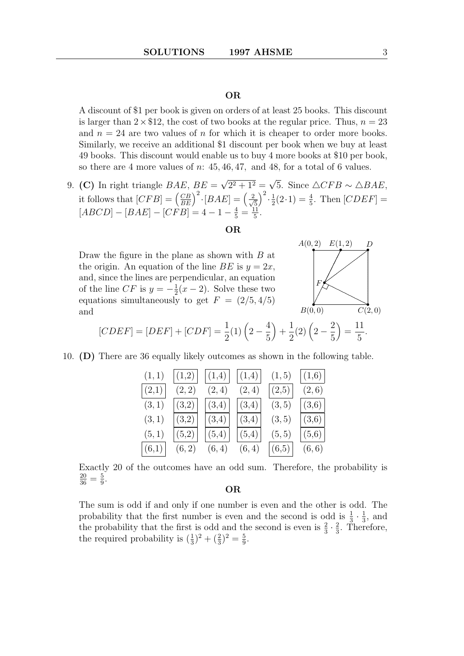A discount of \$1 per book is given on orders of at least 25 books. This discount is larger than  $2 \times \$12$ , the cost of two books at the regular price. Thus,  $n = 23$ and  $n = 24$  are two values of n for which it is cheaper to order more books. Similarly, we receive an additional \$1 discount per book when we buy at least 49 books. This discount would enable us to buy 4 more books at \$10 per book, so there are 4 more values of  $n: 45, 46, 47$ , and 48, for a total of 6 values.

9. (C) In right triangle  $BAE$ ,  $BE =$ √  $2^2 + 1^2 =$ √ 5. Since  $\triangle CFB \sim \triangle BAE$ , it follows that  $[CFB] = \left(\frac{CB}{BE}\right)^2 \cdot [BAE] = \left(\frac{2}{\sqrt{2}}\right)^2$ 5  $\big)^2 \cdot \frac{1}{2}$  $\frac{1}{2}(2\cdot 1) = \frac{4}{5}$ . Then  $[CDEF] =$  $[ABCD] - [BAE] - [CFB] = 4 - 1 - \frac{4}{5} = \frac{11}{5}$ 5 .

# OR

Draw the figure in the plane as shown with  $B$  at the origin. An equation of the line BE is  $y = 2x$ , and, since the lines are perpendicular, an equation of the line CF is  $y = -\frac{1}{2}$  $\frac{1}{2}(x-2)$ . Solve these two equations simultaneously to get  $F = (2/5, 4/5)$ and



$$
[CDEF] = [DEF] + [CDF] = \frac{1}{2}(1)\left(2 - \frac{4}{5}\right) + \frac{1}{2}(2)\left(2 - \frac{2}{5}\right) = \frac{11}{5}.
$$

10. (D) There are 36 equally likely outcomes as shown in the following table.

| (1, 1) | $(1,2)$ | (1,4)  | (1,4)  | (1, 5) | (1,6)  |
|--------|---------|--------|--------|--------|--------|
| (2,1)  | (2, 2)  | (2,4)  | (2,4)  | (2,5)  | (2,6)  |
| (3,1)  | (3,2)   | (3,4)  | (3,4)  | (3, 5) | (3,6)  |
| (3,1)  | (3,2)   | (3,4)  | (3,4)  | (3, 5) | (3,6)  |
| (5,1)  | (5,2)   | (5,4)  | (5,4)  | (5, 5) | (5,6)  |
| (6,1)  | (6,2)   | (6, 4) | (6, 4) | (6,5)  | (6, 6) |

Exactly 20 of the outcomes have an odd sum. Therefore, the probability is  $\frac{20}{36} = \frac{5}{9}$  $\frac{5}{9}$ .

### OR

The sum is odd if and only if one number is even and the other is odd. The probability that the first number is even and the second is odd is  $\frac{1}{3} \cdot \frac{1}{3}$ , and the probability that the first is odd and the second is even is  $\frac{2}{3} \cdot \frac{2}{3}$ . Then  $\frac{2}{3}$ . Therefore, the required probability is  $(\frac{1}{3})^2 + (\frac{2}{3})^2 = \frac{5}{9}$  $\frac{5}{9}$ .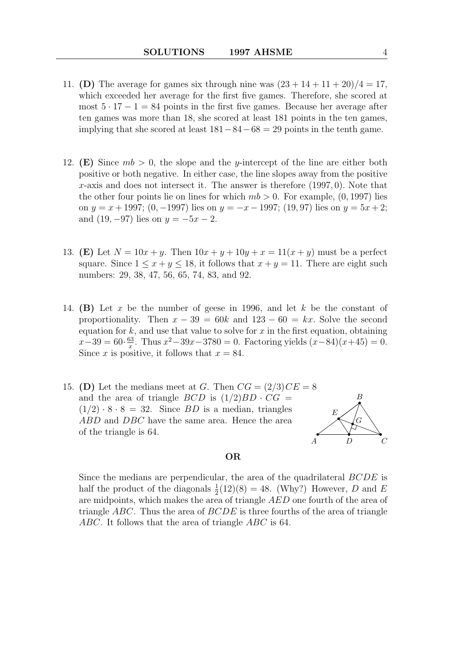- 11. (D) The average for games six through nine was  $(23 + 14 + 11 + 20)/4 = 17$ . which exceeded her average for the first five games. Therefore, she scored at most  $5 \cdot 17 - 1 = 84$  points in the first five games. Because her average after ten games was more than 18, she scored at least 181 points in the ten games, implying that she scored at least  $181-84-68=29$  points in the tenth game.
- 12. (E) Since  $mb > 0$ , the slope and the y-intercept of the line are either both positive or both negative. In either case, the line slopes away from the positive x-axis and does not intersect it. The answer is therefore  $(1997, 0)$ . Note that the other four points lie on lines for which  $mb > 0$ . For example,  $(0, 1997)$  lies on  $y = x + 1997$ ; (0, -1997) lies on  $y = -x - 1997$ ; (19,97) lies on  $y = 5x + 2$ ; and  $(19, -97)$  lies on  $y = -5x - 2$ .
- 13. (E) Let  $N = 10x + y$ . Then  $10x + y + 10y + x = 11(x + y)$  must be a perfect square. Since  $1 \leq x + y \leq 18$ , it follows that  $x + y = 11$ . There are eight such numbers: 29, 38, 47, 56, 65, 74, 83, and 92.
- 14. (B) Let x be the number of geese in 1996, and let  $k$  be the constant of proportionality. Then  $x - 39 = 60k$  and  $123 - 60 = kx$ . Solve the second equation for  $k$ , and use that value to solve for  $x$  in the first equation, obtaining  $x-39=60 \cdot \frac{63}{x}$  $\frac{33}{x}$ . Thus  $x^2 - 39x - 3780 = 0$ . Factoring yields  $(x-84)(x+45) = 0$ . Since x is positive, it follows that  $x = 84$ .
- 15. (D) Let the medians meet at G. Then  $CG = (2/3)CE = 8$ and the area of triangle  $BCD$  is  $(1/2)BD \cdot CG =$  $(1/2) \cdot 8 \cdot 8 = 32$ . Since BD is a median, triangles ABD and DBC have the same area. Hence the area of the triangle is 64.



Since the medians are perpendicular, the area of the quadrilateral BCDE is half the product of the diagonals  $\frac{1}{2}(12)(8) = 48$ . (Why?) However, D and E are midpoints, which makes the area of triangle AED one fourth of the area of triangle ABC. Thus the area of  $BCDE$  is three fourths of the area of triangle ABC. It follows that the area of triangle ABC is 64.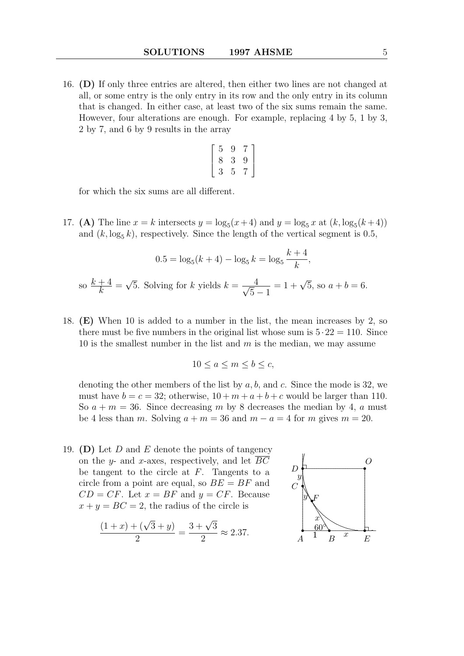16. (D) If only three entries are altered, then either two lines are not changed at all, or some entry is the only entry in its row and the only entry in its column that is changed. In either case, at least two of the six sums remain the same. However, four alterations are enough. For example, replacing 4 by 5, 1 by 3, 2 by 7, and 6 by 9 results in the array

$$
\left[\begin{array}{ccc}5&9&7\\8&3&9\\3&5&7\end{array}\right]
$$

for which the six sums are all different.

17. (A) The line  $x = k$  intersects  $y = \log_5(x+4)$  and  $y = \log_5 x$  at  $(k, \log_5(k+4))$ and  $(k, \log_5 k)$ , respectively. Since the length of the vertical segment is 0.5,

$$
0.5 = \log_5(k+4) - \log_5 k = \log_5 \frac{k+4}{k},
$$
  
so  $\frac{k+4}{k} = \sqrt{5}$ . Solving for  $k$  yields  $k = \frac{4}{\sqrt{5}-1} = 1 + \sqrt{5}$ , so  $a+b=6$ .

18. (E) When 10 is added to a number in the list, the mean increases by 2, so there must be five numbers in the original list whose sum is  $5 \cdot 22 = 110$ . Since 10 is the smallest number in the list and  $m$  is the median, we may assume

$$
10 \le a \le m \le b \le c,
$$

denoting the other members of the list by  $a, b$ , and  $c$ . Since the mode is 32, we must have  $b = c = 32$ ; otherwise,  $10 + m + a + b + c$  would be larger than 110. So  $a + m = 36$ . Since decreasing m by 8 decreases the median by 4, a must be 4 less than m. Solving  $a + m = 36$  and  $m - a = 4$  for m gives  $m = 20$ .

19. (D) Let D and E denote the points of tangency on the y- and x-axes, respectively, and let  $BC$ be tangent to the circle at  $F$ . Tangents to a circle from a point are equal, so  $BE = BF$  and  $CD = CF$ . Let  $x = BF$  and  $y = CF$ . Because  $x + y = BC = 2$ , the radius of the circle is

$$
\frac{(1+x)+(\sqrt{3}+y)}{2} = \frac{3+\sqrt{3}}{2} \approx 2.37.
$$

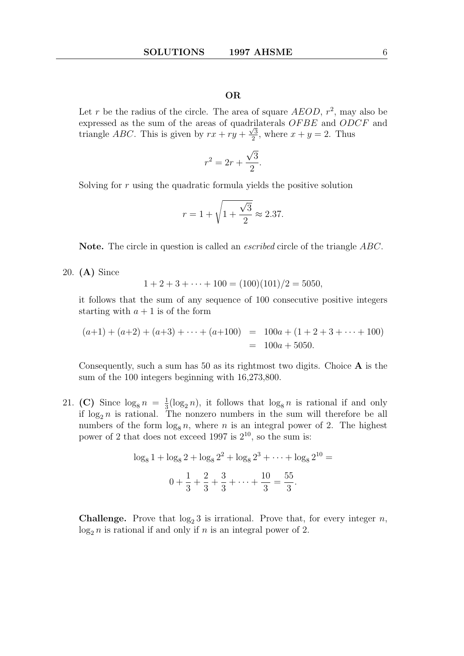Let r be the radius of the circle. The area of square  $A EOD$ ,  $r^2$ , may also be expressed as the sum of the areas of quadrilaterals  $OFBE$  and  $ODCF$  and triangle *ABC*. This is given by  $rx + ry + \frac{\sqrt{3}}{2}$  $\frac{\sqrt{3}}{2}$ , where  $x + y = 2$ . Thus

$$
r^2 = 2r + \frac{\sqrt{3}}{2}.
$$

Solving for r using the quadratic formula yields the positive solution

$$
r = 1 + \sqrt{1 + \frac{\sqrt{3}}{2}} \approx 2.37.
$$

Note. The circle in question is called an *escribed* circle of the triangle ABC.

20. (A) Since

$$
1 + 2 + 3 + \dots + 100 = (100)(101)/2 = 5050,
$$

it follows that the sum of any sequence of 100 consecutive positive integers starting with  $a + 1$  is of the form

$$
(a+1) + (a+2) + (a+3) + \dots + (a+100) = 100a + (1+2+3+\dots+100)
$$
  
= 100a + 5050.

Consequently, such a sum has 50 as its rightmost two digits. Choice  $\bf{A}$  is the sum of the 100 integers beginning with 16,273,800.

21. (C) Since  $\log_8 n = \frac{1}{3}$  $\frac{1}{3}(\log_2 n)$ , it follows that  $\log_8 n$  is rational if and only if  $\log_2 n$  is rational. The nonzero numbers in the sum will therefore be all numbers of the form  $\log_8 n$ , where n is an integral power of 2. The highest power of 2 that does not exceed 1997 is  $2^{10}$ , so the sum is:

$$
\log_8 1 + \log_8 2 + \log_8 2^2 + \log_8 2^3 + \dots + \log_8 2^{10} =
$$
  

$$
0 + \frac{1}{3} + \frac{2}{3} + \frac{3}{3} + \dots + \frac{10}{3} = \frac{55}{3}.
$$

**Challenge.** Prove that  $\log_2 3$  is irrational. Prove that, for every integer n,  $log_2 n$  is rational if and only if n is an integral power of 2.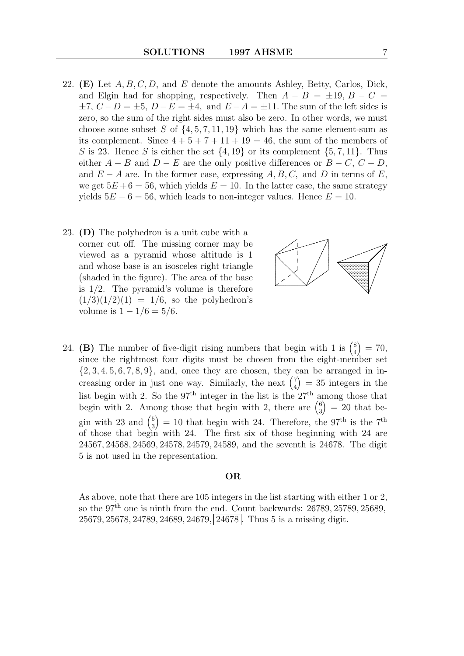- 22. (E) Let  $A, B, C, D$ , and E denote the amounts Ashley, Betty, Carlos, Dick, and Elgin had for shopping, respectively. Then  $A - B = \pm 19$ ,  $B - C =$  $\pm 7$ ,  $C - D = \pm 5$ ,  $D - E = \pm 4$ , and  $E - A = \pm 11$ . The sum of the left sides is zero, so the sum of the right sides must also be zero. In other words, we must choose some subset S of  $\{4, 5, 7, 11, 19\}$  which has the same element-sum as its complement. Since  $4+5+7+11+19=46$ , the sum of the members of S is 23. Hence S is either the set  $\{4, 19\}$  or its complement  $\{5, 7, 11\}$ . Thus either  $A - B$  and  $D - E$  are the only positive differences or  $B - C$ ,  $C - D$ , and  $E - A$  are. In the former case, expressing  $A, B, C$ , and D in terms of E, we get  $5E + 6 = 56$ , which yields  $E = 10$ . In the latter case, the same strategy yields  $5E - 6 = 56$ , which leads to non-integer values. Hence  $E = 10$ .
- 23. (D) The polyhedron is a unit cube with a corner cut off. The missing corner may be viewed as a pyramid whose altitude is 1 and whose base is an isosceles right triangle (shaded in the figure). The area of the base is 1/2. The pyramid's volume is therefore  $(1/3)(1/2)(1) = 1/6$ , so the polyhedron's volume is  $1 - 1/6 = 5/6$ .



24. (B) The number of five-digit rising numbers that begin with 1 is  $\binom{8}{4}$ 4  $\dot{=}$  = 70, since the rightmost four digits must be chosen from the eight-member set  $\{2, 3, 4, 5, 6, 7, 8, 9\}$ , and, once they are chosen, they can be arranged in increasing order in just one way. Similarly, the next  $\binom{7}{4}$ 4  $= 35$  integers in the list begin with 2. So the  $97<sup>th</sup>$  integer in the list is the  $27<sup>th</sup>$  among those that begin with 2. Among those that begin with 2, there are  $\binom{6}{3}$ 3  $= 20$  that begin with 23 and  $\binom{5}{3}$ 3  $= 10$  that begin with 24. Therefore, the 97<sup>th</sup> is the 7<sup>th</sup> of those that begin with 24. The first six of those beginning with 24 are 24567, 24568, 24569, 24578, 24579, 24589, and the seventh is 24678. The digit 5 is not used in the representation.

#### OR

As above, note that there are 105 integers in the list starting with either 1 or 2, so the  $97<sup>th</sup>$  one is ninth from the end. Count backwards:  $26789, 25789, 25689,$ 25679, 25678, 24789, 24689, 24679, 24678 . Thus 5 is a missing digit.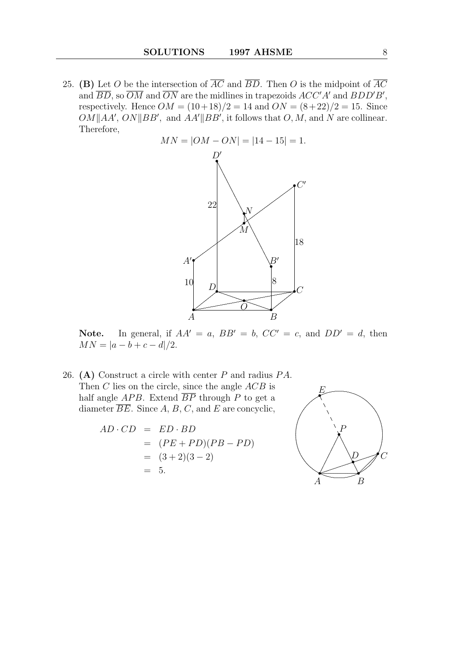25. (B) Let O be the intersection of  $\overline{AC}$  and  $\overline{BD}$ . Then O is the midpoint of  $\overline{AC}$ and  $\overline{BD}$ , so  $\overline{OM}$  and  $\overline{ON}$  are the midlines in trapezoids  $ACC'A'$  and  $BDD'B'$ , respectively. Hence  $OM = (10+18)/2 = 14$  and  $ON = (8+22)/2 = 15$ . Since  $OM||AA', ON||BB'$ , and  $AA'||BB'$ , it follows that  $O, M$ , and N are collinear. Therefore,



Note. In general, if  $AA' = a$ ,  $BB' = b$ ,  $CC' = c$ , and  $DD' = d$ , then  $MN = |a - b + c - d|/2.$ 

26. (A) Construct a circle with center  $P$  and radius  $PA$ . Then  $C$  lies on the circle, since the angle  $ACB$  is half angle  $APB$ . Extend  $\overline{BP}$  through P to get a diameter  $\overline{BE}$ . Since A, B, C, and E are concyclic,

$$
AD \cdot CD = ED \cdot BD
$$
  
= 
$$
(PE + PD)(PB - PD)
$$
  
= 
$$
(3 + 2)(3 - 2)
$$
  
= 5.

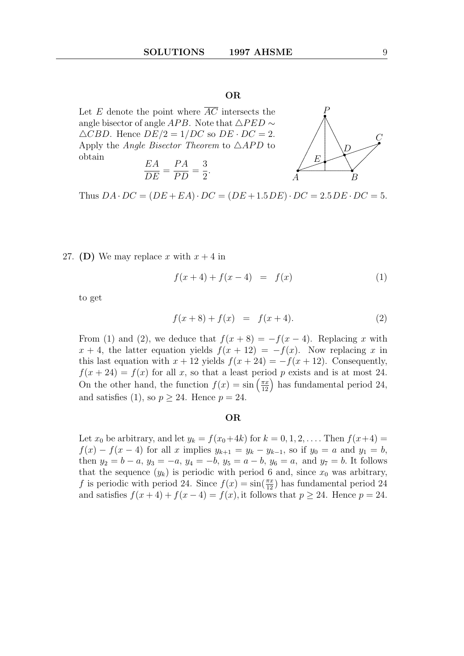Let E denote the point where  $\overline{AC}$  intersects the angle bisector of angle APB. Note that  $\triangle PED \sim$  $\triangle CBD$ . Hence  $DE/2 = 1/DC$  so  $DE \cdot DC = 2$ . Apply the *Angle Bisector Theorem* to  $\triangle APD$  to obtain

$$
\frac{EA}{DE} = \frac{PA}{PD} = \frac{3}{2}.
$$



Thus  $DA \cdot DC = (DE + EA) \cdot DC = (DE + 1.5DE) \cdot DC = 2.5DE \cdot DC = 5.$ 

27. (D) We may replace x with  $x + 4$  in

$$
f(x+4) + f(x-4) = f(x)
$$
 (1)

to get

$$
f(x+8) + f(x) = f(x+4).
$$
 (2)

From (1) and (2), we deduce that  $f(x+8) = -f(x-4)$ . Replacing x with  $x + 4$ , the latter equation yields  $f(x + 12) = -f(x)$ . Now replacing x in this last equation with  $x + 12$  yields  $f(x + 24) = -f(x + 12)$ . Consequently,  $f(x+24) = f(x)$  for all x, so that a least period p exists and is at most 24. On the other hand, the function  $f(x) = \sin\left(\frac{\pi x}{12}\right)$  has fundamental period 24, and satisfies (1), so  $p > 24$ . Hence  $p = 24$ .

#### OR

Let  $x_0$  be arbitrary, and let  $y_k = f(x_0+4k)$  for  $k = 0, 1, 2, \ldots$ . Then  $f(x+4) =$  $f(x) - f(x-4)$  for all x implies  $y_{k+1} = y_k - y_{k-1}$ , so if  $y_0 = a$  and  $y_1 = b$ , then  $y_2 = b - a$ ,  $y_3 = -a$ ,  $y_4 = -b$ ,  $y_5 = a - b$ ,  $y_6 = a$ , and  $y_7 = b$ . It follows that the sequence  $(y_k)$  is periodic with period 6 and, since  $x_0$  was arbitrary, f is periodic with period 24. Since  $f(x) = \sin(\frac{\pi x}{12})$  has fundamental period 24 and satisfies  $f(x+4) + f(x-4) = f(x)$ , it follows that  $p \ge 24$ . Hence  $p = 24$ .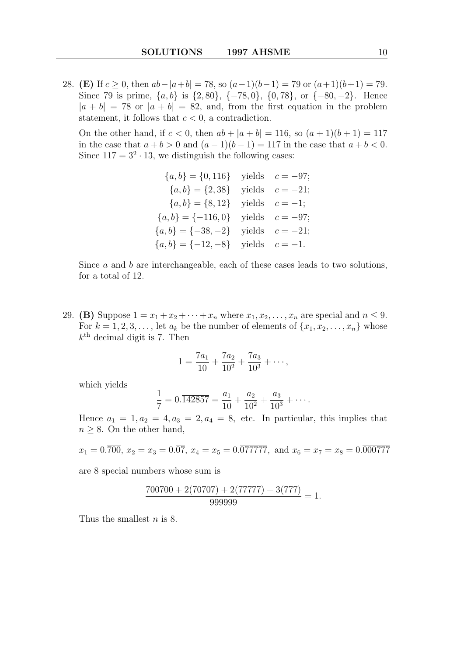28. (E) If  $c > 0$ , then  $ab - |a+b| = 78$ , so  $(a-1)(b-1) = 79$  or  $(a+1)(b+1) = 79$ . Since 79 is prime,  $\{a, b\}$  is  $\{2, 80\}$ ,  $\{-78, 0\}$ ,  $\{0, 78\}$ , or  $\{-80, -2\}$ . Hence  $|a + b| = 78$  or  $|a + b| = 82$ , and, from the first equation in the problem statement, it follows that  $c < 0$ , a contradiction.

On the other hand, if  $c < 0$ , then  $ab + |a + b| = 116$ , so  $(a + 1)(b + 1) = 117$ in the case that  $a + b > 0$  and  $(a - 1)(b - 1) = 117$  in the case that  $a + b < 0$ . Since  $117 = 3^2 \cdot 13$ , we distinguish the following cases:

$$
\{a, b\} = \{0, 116\} \text{ yields } c = -97; \{a, b\} = \{2, 38\} \text{ yields } c = -21; \{a, b\} = \{8, 12\} \text{ yields } c = -1; \{a, b\} = \{-116, 0\} \text{ yields } c = -97; \{a, b\} = \{-38, -2\} \text{ yields } c = -21; \{a, b\} = \{-12, -8\} \text{ yields } c = -1.
$$

Since  $a$  and  $b$  are interchangeable, each of these cases leads to two solutions, for a total of 12.

29. (B) Suppose  $1 = x_1 + x_2 + \cdots + x_n$  where  $x_1, x_2, \ldots, x_n$  are special and  $n \leq 9$ . For  $k = 1, 2, 3, \ldots$ , let  $a_k$  be the number of elements of  $\{x_1, x_2, \ldots, x_n\}$  whose  $k^{\text{th}}$  decimal digit is 7. Then

$$
1 = \frac{7a_1}{10} + \frac{7a_2}{10^2} + \frac{7a_3}{10^3} + \cdots,
$$

which yields

$$
\frac{1}{7} = 0.\overline{142857} = \frac{a_1}{10} + \frac{a_2}{10^2} + \frac{a_3}{10^3} + \cdots
$$

Hence  $a_1 = 1, a_2 = 4, a_3 = 2, a_4 = 8$ , etc. In particular, this implies that  $n \geq 8$ . On the other hand,

$$
x_1 = 0.\overline{700}, x_2 = x_3 = 0.\overline{07}, x_4 = x_5 = 0.\overline{077777}, \text{ and } x_6 = x_7 = x_8 = 0.\overline{000777}
$$

are 8 special numbers whose sum is

$$
\frac{700700 + 2(70707) + 2(77777) + 3(777)}{999999} = 1.
$$

Thus the smallest *n* is 8.